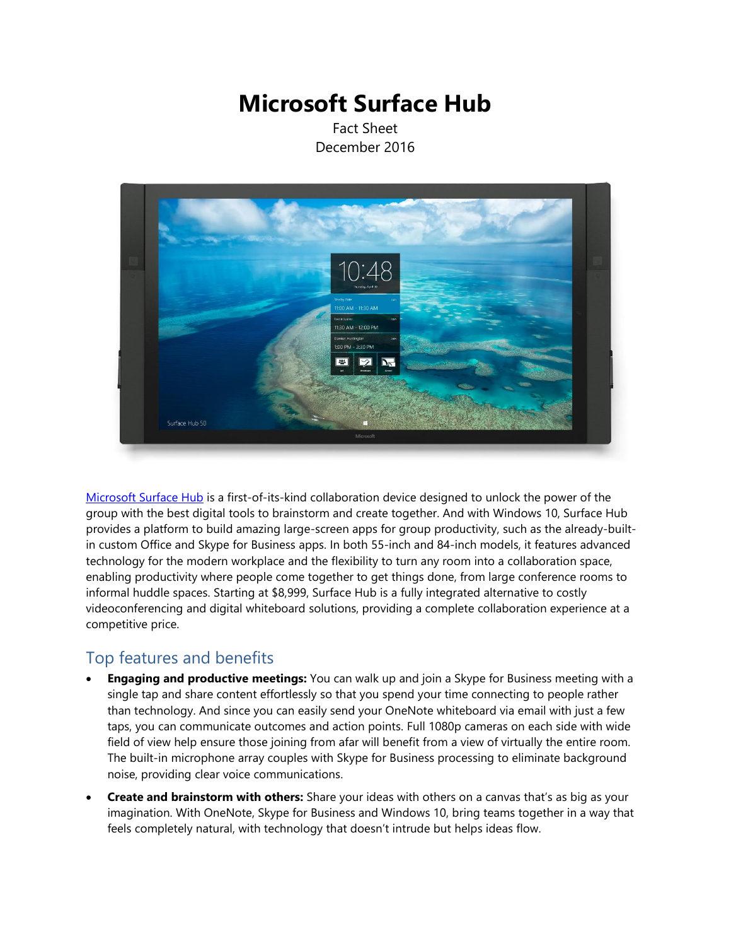# **Microsoft Surface Hub**

Fact Sheet December 2016



[Microsoft Surface Hub](http://www.microsoft.com/microsoft-surface-hub/en-us) is a first-of-its-kind collaboration device designed to unlock the power of the group with the best digital tools to brainstorm and create together. And with Windows 10, Surface Hub provides a platform to build amazing large-screen apps for group productivity, such as the already-builtin custom Office and Skype for Business apps. In both 55-inch and 84-inch models, it features advanced technology for the modern workplace and the flexibility to turn any room into a collaboration space, enabling productivity where people come together to get things done, from large conference rooms to informal huddle spaces. Starting at \$8,999, Surface Hub is a fully integrated alternative to costly videoconferencing and digital whiteboard solutions, providing a complete collaboration experience at a competitive price.

## Top features and benefits

- **Engaging and productive meetings:** You can walk up and join a Skype for Business meeting with a single tap and share content effortlessly so that you spend your time connecting to people rather than technology. And since you can easily send your OneNote whiteboard via email with just a few taps, you can communicate outcomes and action points. Full 1080p cameras on each side with wide field of view help ensure those joining from afar will benefit from a view of virtually the entire room. The built-in microphone array couples with Skype for Business processing to eliminate background noise, providing clear voice communications.
- **Create and brainstorm with others:** Share your ideas with others on a canvas that's as big as your imagination. With OneNote, Skype for Business and Windows 10, bring teams together in a way that feels completely natural, with technology that doesn't intrude but helps ideas flow.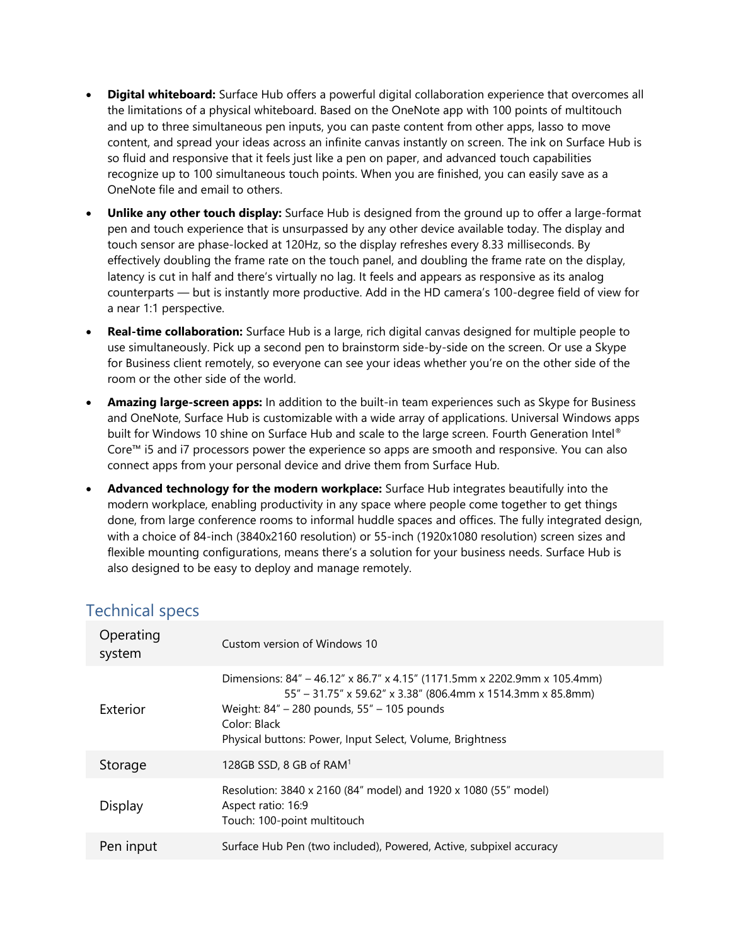- **Digital whiteboard:** Surface Hub offers a powerful digital collaboration experience that overcomes all the limitations of a physical whiteboard. Based on the OneNote app with 100 points of multitouch and up to three simultaneous pen inputs, you can paste content from other apps, lasso to move content, and spread your ideas across an infinite canvas instantly on screen. The ink on Surface Hub is so fluid and responsive that it feels just like a pen on paper, and advanced touch capabilities recognize up to 100 simultaneous touch points. When you are finished, you can easily save as a OneNote file and email to others.
- **Unlike any other touch display:** Surface Hub is designed from the ground up to offer a large-format pen and touch experience that is unsurpassed by any other device available today. The display and touch sensor are phase-locked at 120Hz, so the display refreshes every 8.33 milliseconds. By effectively doubling the frame rate on the touch panel, and doubling the frame rate on the display, latency is cut in half and there's virtually no lag. It feels and appears as responsive as its analog counterparts — but is instantly more productive. Add in the HD camera's 100-degree field of view for a near 1:1 perspective.
- **Real-time collaboration:** Surface Hub is a large, rich digital canvas designed for multiple people to use simultaneously. Pick up a second pen to brainstorm side-by-side on the screen. Or use a Skype for Business client remotely, so everyone can see your ideas whether you're on the other side of the room or the other side of the world.
- **Amazing large-screen apps:** In addition to the built-in team experiences such as Skype for Business and OneNote, Surface Hub is customizable with a wide array of applications. Universal Windows apps built for Windows 10 shine on Surface Hub and scale to the large screen. Fourth Generation Intel® Core™ i5 and i7 processors power the experience so apps are smooth and responsive. You can also connect apps from your personal device and drive them from Surface Hub.
- **Advanced technology for the modern workplace:** Surface Hub integrates beautifully into the modern workplace, enabling productivity in any space where people come together to get things done, from large conference rooms to informal huddle spaces and offices. The fully integrated design, with a choice of 84-inch (3840x2160 resolution) or 55-inch (1920x1080 resolution) screen sizes and flexible mounting configurations, means there's a solution for your business needs. Surface Hub is also designed to be easy to deploy and manage remotely.

| Operating<br>system | Custom version of Windows 10                                                                                                                                                                                                                                       |
|---------------------|--------------------------------------------------------------------------------------------------------------------------------------------------------------------------------------------------------------------------------------------------------------------|
| Exterior            | Dimensions: 84" - 46.12" x 86.7" x 4.15" (1171.5mm x 2202.9mm x 105.4mm)<br>55" – 31.75" x 59.62" x 3.38" (806.4mm x 1514.3mm x 85.8mm)<br>Weight: 84" - 280 pounds, 55" - 105 pounds<br>Color: Black<br>Physical buttons: Power, Input Select, Volume, Brightness |
| Storage             | 128GB SSD, 8 GB of RAM <sup>1</sup>                                                                                                                                                                                                                                |
| Display             | Resolution: 3840 x 2160 (84" model) and 1920 x 1080 (55" model)<br>Aspect ratio: 16:9<br>Touch: 100-point multitouch                                                                                                                                               |
| Pen input           | Surface Hub Pen (two included), Powered, Active, subpixel accuracy                                                                                                                                                                                                 |

## Technical specs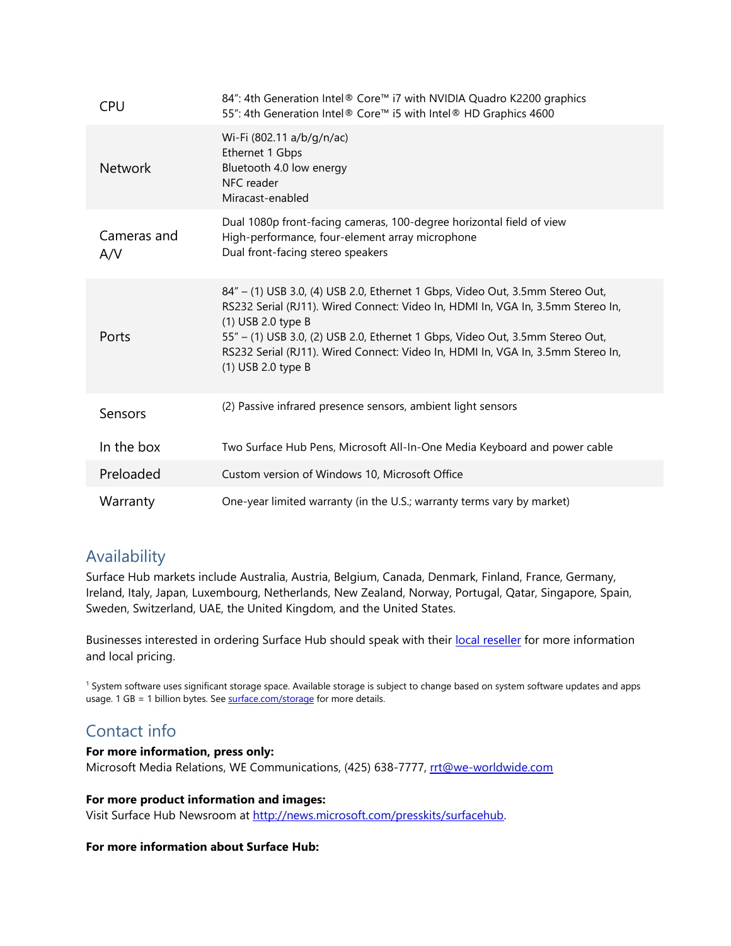| <b>CPU</b>         | 84": 4th Generation Intel® Core™ i7 with NVIDIA Quadro K2200 graphics<br>55": 4th Generation Intel® Core™ i5 with Intel® HD Graphics 4600                                                                                                                                                                                                                                        |
|--------------------|----------------------------------------------------------------------------------------------------------------------------------------------------------------------------------------------------------------------------------------------------------------------------------------------------------------------------------------------------------------------------------|
| <b>Network</b>     | Wi-Fi (802.11 a/b/g/n/ac)<br>Ethernet 1 Gbps<br>Bluetooth 4.0 low energy<br>NFC reader<br>Miracast-enabled                                                                                                                                                                                                                                                                       |
| Cameras and<br>A/V | Dual 1080p front-facing cameras, 100-degree horizontal field of view<br>High-performance, four-element array microphone<br>Dual front-facing stereo speakers                                                                                                                                                                                                                     |
| Ports              | 84" - (1) USB 3.0, (4) USB 2.0, Ethernet 1 Gbps, Video Out, 3.5mm Stereo Out,<br>RS232 Serial (RJ11). Wired Connect: Video In, HDMI In, VGA In, 3.5mm Stereo In,<br>(1) USB 2.0 type B<br>55" - (1) USB 3.0, (2) USB 2.0, Ethernet 1 Gbps, Video Out, 3.5mm Stereo Out,<br>RS232 Serial (RJ11). Wired Connect: Video In, HDMI In, VGA In, 3.5mm Stereo In,<br>(1) USB 2.0 type B |
| Sensors            | (2) Passive infrared presence sensors, ambient light sensors                                                                                                                                                                                                                                                                                                                     |
| In the box         | Two Surface Hub Pens, Microsoft All-In-One Media Keyboard and power cable                                                                                                                                                                                                                                                                                                        |
| Preloaded          | Custom version of Windows 10, Microsoft Office                                                                                                                                                                                                                                                                                                                                   |
| Warranty           | One-year limited warranty (in the U.S.; warranty terms vary by market)                                                                                                                                                                                                                                                                                                           |

## Availability

Surface Hub markets include Australia, Austria, Belgium, Canada, Denmark, Finland, France, Germany, Ireland, Italy, Japan, Luxembourg, Netherlands, New Zealand, Norway, Portugal, Qatar, Singapore, Spain, Sweden, Switzerland, UAE, the United Kingdom, and the United States.

Businesses interested in ordering Surface Hub should speak with their [local reseller](https://www.microsoft.com/microsoft-surface-hub/en-us/find-a-hub) for more information and local pricing.

<sup>1</sup> System software uses significant storage space. Available storage is subject to change based on system software updates and apps usage. 1 GB = 1 billion bytes. Se[e surface.com/storage](http://www.microsoft.com/surface/en-us/support/storage) for more details.

## Contact info

#### **For more information, press only:**

Microsoft Media Relations, WE Communications, (425) 638-7777, [rrt@we-worldwide.com](mailto:rrt@we-worldwide.com)

#### **For more product information and images:**

Visit Surface Hub Newsroom at [http://news.microsoft.com/presskits/surfacehub.](http://news.microsoft.com/presskits/surfacehub)

#### **For more information about Surface Hub:**